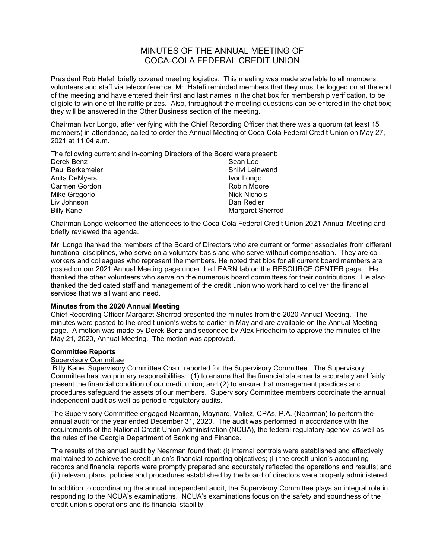# MINUTES OF THE ANNUAL MEETING OF COCA-COLA FEDERAL CREDIT UNION

President Rob Hatefi briefly covered meeting logistics. This meeting was made available to all members, volunteers and staff via teleconference. Mr. Hatefi reminded members that they must be logged on at the end of the meeting and have entered their first and last names in the chat box for membership verification, to be eligible to win one of the raffle prizes. Also, throughout the meeting questions can be entered in the chat box; they will be answered in the Other Business section of the meeting.

Chairman Ivor Longo, after verifying with the Chief Recording Officer that there was a quorum (at least 15 members) in attendance, called to order the Annual Meeting of Coca-Cola Federal Credit Union on May 27, 2021 at 11:04 a.m.

The following current and in-coming Directors of the Board were present:

| Sean Lee         |
|------------------|
| Shilvi Leinwand  |
| Ivor Longo       |
| Robin Moore      |
| Nick Nichols     |
| Dan Redler       |
| Margaret Sherrod |
|                  |

Chairman Longo welcomed the attendees to the Coca-Cola Federal Credit Union 2021 Annual Meeting and briefly reviewed the agenda.

Mr. Longo thanked the members of the Board of Directors who are current or former associates from different functional disciplines, who serve on a voluntary basis and who serve without compensation. They are coworkers and colleagues who represent the members. He noted that bios for all current board members are posted on our 2021 Annual Meeting page under the LEARN tab on the RESOURCE CENTER page. He thanked the other volunteers who serve on the numerous board committees for their contributions. He also thanked the dedicated staff and management of the credit union who work hard to deliver the financial services that we all want and need.

### **Minutes from the 2020 Annual Meeting**

Chief Recording Officer Margaret Sherrod presented the minutes from the 2020 Annual Meeting. The minutes were posted to the credit union's website earlier in May and are available on the Annual Meeting page. A motion was made by Derek Benz and seconded by Alex Friedheim to approve the minutes of the May 21, 2020, Annual Meeting. The motion was approved.

### **Committee Reports**

### Supervisory Committee

Billy Kane, Supervisory Committee Chair, reported for the Supervisory Committee. The Supervisory Committee has two primary responsibilities: (1) to ensure that the financial statements accurately and fairly present the financial condition of our credit union; and (2) to ensure that management practices and procedures safeguard the assets of our members. Supervisory Committee members coordinate the annual independent audit as well as periodic regulatory audits.

The Supervisory Committee engaged Nearman, Maynard, Vallez, CPAs, P.A. (Nearman) to perform the annual audit for the year ended December 31, 2020. The audit was performed in accordance with the requirements of the National Credit Union Administration (NCUA), the federal regulatory agency, as well as the rules of the Georgia Department of Banking and Finance.

The results of the annual audit by Nearman found that: (i) internal controls were established and effectively maintained to achieve the credit union's financial reporting objectives; (ii) the credit union's accounting records and financial reports were promptly prepared and accurately reflected the operations and results; and (iii) relevant plans, policies and procedures established by the board of directors were properly administered.

In addition to coordinating the annual independent audit, the Supervisory Committee plays an integral role in responding to the NCUA's examinations. NCUA's examinations focus on the safety and soundness of the credit union's operations and its financial stability.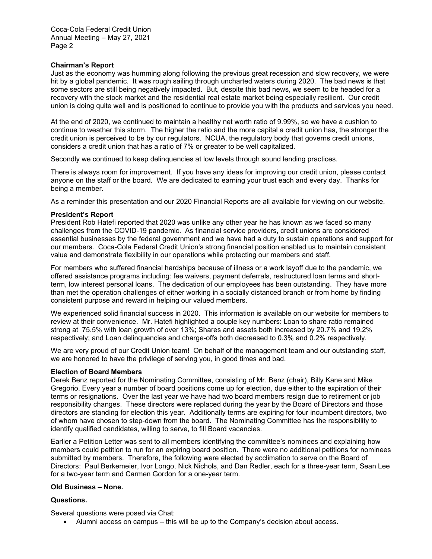### **Chairman's Report**

Just as the economy was humming along following the previous great recession and slow recovery, we were hit by a global pandemic. It was rough sailing through uncharted waters during 2020. The bad news is that some sectors are still being negatively impacted. But, despite this bad news, we seem to be headed for a recovery with the stock market and the residential real estate market being especially resilient. Our credit union is doing quite well and is positioned to continue to provide you with the products and services you need.

At the end of 2020, we continued to maintain a healthy net worth ratio of 9.99%, so we have a cushion to continue to weather this storm. The higher the ratio and the more capital a credit union has, the stronger the credit union is perceived to be by our regulators. NCUA, the regulatory body that governs credit unions, considers a credit union that has a ratio of 7% or greater to be well capitalized.

Secondly we continued to keep delinquencies at low levels through sound lending practices.

There is always room for improvement. If you have any ideas for improving our credit union, please contact anyone on the staff or the board. We are dedicated to earning your trust each and every day. Thanks for being a member.

As a reminder this presentation and our 2020 Financial Reports are all available for viewing on our website.

### **President's Report**

President Rob Hatefi reported that 2020 was unlike any other year he has known as we faced so many challenges from the COVID-19 pandemic. As financial service providers, credit unions are considered essential businesses by the federal government and we have had a duty to sustain operations and support for our members. Coca-Cola Federal Credit Union's strong financial position enabled us to maintain consistent value and demonstrate flexibility in our operations while protecting our members and staff.

For members who suffered financial hardships because of illness or a work layoff due to the pandemic, we offered assistance programs including: fee waivers, payment deferrals, restructured loan terms and shortterm, low interest personal loans. The dedication of our employees has been outstanding. They have more than met the operation challenges of either working in a socially distanced branch or from home by finding consistent purpose and reward in helping our valued members.

We experienced solid financial success in 2020. This information is available on our website for members to review at their convenience. Mr. Hatefi highlighted a couple key numbers: Loan to share ratio remained strong at 75.5% with loan growth of over 13%; Shares and assets both increased by 20.7% and 19.2% respectively; and Loan delinquencies and charge-offs both decreased to 0.3% and 0.2% respectively.

We are very proud of our Credit Union team! On behalf of the management team and our outstanding staff, we are honored to have the privilege of serving you, in good times and bad.

#### **Election of Board Members**

Derek Benz reported for the Nominating Committee, consisting of Mr. Benz (chair), Billy Kane and Mike Gregorio. Every year a number of board positions come up for election, due either to the expiration of their terms or resignations. Over the last year we have had two board members resign due to retirement or job responsibility changes. These directors were replaced during the year by the Board of Directors and those directors are standing for election this year. Additionally terms are expiring for four incumbent directors, two of whom have chosen to step-down from the board. The Nominating Committee has the responsibility to identify qualified candidates, willing to serve, to fill Board vacancies.

Earlier a Petition Letter was sent to all members identifying the committee's nominees and explaining how members could petition to run for an expiring board position. There were no additional petitions for nominees submitted by members. Therefore, the following were elected by acclimation to serve on the Board of Directors: Paul Berkemeier, Ivor Longo, Nick Nichols, and Dan Redler, each for a three-year term, Sean Lee for a two-year term and Carmen Gordon for a one-year term.

### **Old Business – None.**

### **Questions.**

Several questions were posed via Chat:

• Alumni access on campus – this will be up to the Company's decision about access.